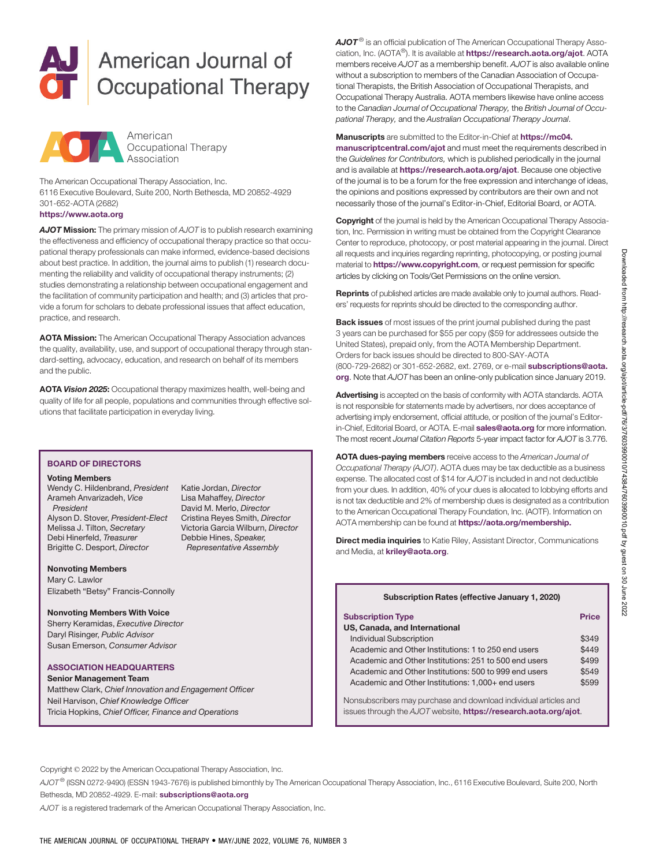# American Journal of **Occupational Therapy**



The American Occupational Therapy Association, Inc. 6116 Executive Boulevard, Suite 200, North Bethesda, MD 20852-4929 301-652-AOTA (2682)

# <https://www.aota.org>

AJOT Mission: The primary mission of AJOT is to publish research examining the effectiveness and efficiency of occupational therapy practice so that occupational therapy professionals can make informed, evidence-based decisions about best practice. In addition, the journal aims to publish (1) research documenting the reliability and validity of occupational therapy instruments; (2) studies demonstrating a relationship between occupational engagement and the facilitation of community participation and health; and (3) articles that provide a forum for scholars to debate professional issues that affect education, practice, and research.

AOTA Mission: The American Occupational Therapy Association advances the quality, availability, use, and support of occupational therapy through standard-setting, advocacy, education, and research on behalf of its members and the public.

AOTA Vision 2025: Occupational therapy maximizes health, well-being and quality of life for all people, populations and communities through effective solutions that facilitate participation in everyday living.

# BOARD OF DIRECTORS

#### Voting Members

Wendy C. Hildenbrand, President Arameh Anvarizadeh, Vice President Alyson D. Stover, President-Elect Melissa J. Tilton, Secretary Debi Hinerfeld, Treasurer Brigitte C. Desport, Director

Katie Jordan, Director Lisa Mahaffey, Director David M. Merlo, Director Cristina Reyes Smith, Director Victoria Garcia Wilburn, Director Debbie Hines, Speaker, Representative Assembly

#### Nonvoting Members

Mary C. Lawlor Elizabeth "Betsy" Francis-Connolly

## Nonvoting Members With Voice

Sherry Keramidas, Executive Director Daryl Risinger, Public Advisor Susan Emerson, Consumer Advisor

## ASSOCIATION HEADQUARTERS

Senior Management Team Matthew Clark, Chief Innovation and Engagement Officer Neil Harvison, Chief Knowledge Officer Tricia Hopkins, Chief Officer, Finance and Operations

 $A$ JO $T^{\circledcirc}$  is an official publication of The American Occupational Therapy Association, Inc. (AOTA®). It is available at <https://research.aota.org/ajot>. AOTA members receive AJOT as a membership benefit. AJOT is also available online without a subscription to members of the Canadian Association of Occupational Therapists, the British Association of Occupational Therapists, and Occupational Therapy Australia. AOTA members likewise have online access to the Canadian Journal of Occupational Therapy, the British Journal of Occupational Therapy, and the Australian Occupational Therapy Journal.

## Manuscripts are submitted to the Editor-in-Chief at [https://mc04.](https://mc04.manuscriptcentral.com/ajot)

[manuscriptcentral.com/ajot](https://mc04.manuscriptcentral.com/ajot) and must meet the requirements described in the Guidelines for Contributors, which is published periodically in the journal and is available at <https://research.aota.org/ajot>. Because one objective of the journal is to be a forum for the free expression and interchange of ideas, the opinions and positions expressed by contributors are their own and not necessarily those of the journal's Editor-in-Chief, Editorial Board, or AOTA.

**Copyright** of the journal is held by the American Occupational Therapy Association, Inc. Permission in writing must be obtained from the Copyright Clearance Center to reproduce, photocopy, or post material appearing in the journal. Direct all requests and inquiries regarding reprinting, photocopying, or posting journal material to **<https://www.copyright.com>**, or request permission for specific articles by clicking on Tools/Get Permissions on the online version.

Reprints of published articles are made available only to journal authors. Readers' requests for reprints should be directed to the corresponding author.

Back issues of most issues of the print journal published during the past 3 years can be purchased for \$55 per copy (\$59 for addressees outside the United States), prepaid only, from the AOTA Membership Department. Orders for back issues should be directed to 800-SAY-AOTA (800-729-2682) or 301-652-2682, ext. 2769, or e-mail [subscriptions@aota.](subscriptions.org) [org](subscriptions.org). Note that AJOT has been an online-only publication since January 2019.

Advertising is accepted on the basis of conformity with AOTA standards. AOTA is not responsible for statements made by advertisers, nor does acceptance of advertising imply endorsement, official attitude, or position of the journal's Editorin-Chief, Editorial Board, or AOTA. E-mail [sales@aota.org](https://kriley.org) for more information. The most recent Journal Citation Reports 5-year impact factor for AJOT is 3.776.

AOTA dues-paying members receive access to the American Journal of Occupational Therapy (AJOT). AOTA dues may be tax deductible as a business expense. The allocated cost of \$14 for AJOT is included in and not deductible from your dues. In addition, 40% of your dues is allocated to lobbying efforts and is not tax deductible and 2% of membership dues is designated as a contribution to the American Occupational Therapy Foundation, Inc. (AOTF). Information on AOTA membership can be found at [https://aota.org/membership.](https://aota.org/membership)

**Direct media inquiries** to Katie Riley, Assistant Director, Communications and Media, at [kriley@aota.org](https://kriley.org).

| Subscription Rates (effective January 1, 2020)                   |       |
|------------------------------------------------------------------|-------|
| <b>Subscription Type</b>                                         | Price |
| US, Canada, and International                                    |       |
| <b>Individual Subscription</b>                                   | \$349 |
| Academic and Other Institutions: 1 to 250 end users              | \$449 |
| Academic and Other Institutions: 251 to 500 end users            | \$499 |
| Academic and Other Institutions: 500 to 999 end users            | \$549 |
| Academic and Other Institutions: 1,000+ end users                | \$599 |
| Nonsubscribers may purchase and download individual articles and |       |

issues through the AJOT website, <https://research.aota.org/ajot>.

Copyright © 2022 by the American Occupational Therapy Association, Inc.

AJOT® (ISSN 0272-9490) (ESSN 1943-7676) is published bimonthly by The American Occupational Therapy Association, Inc., 6116 Executive Boulevard, Suite 200, North Bethesda, MD 20852-4929. E-mail: [subscriptions@aota.org](subscriptions.org)

AJOT is a registered trademark of the American Occupational Therapy Association, Inc.